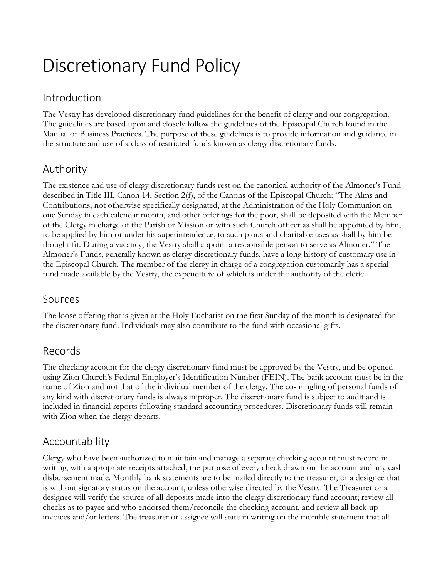# Discretionary Fund Policy

### Introduction

The Vestry has developed discretionary fund guidelines for the benefit of clergy and our congregation. The guidelines are based upon and closely follow the guidelines of the Episcopal Church found in the Manual of Business Practices. The purpose of these guidelines is to provide information and guidance in the structure and use of a class of restricted funds known as clergy discretionary funds.

# Authority

The existence and use of clergy discretionary funds rest on the canonical authority of the Almoner's Fund described in Title III, Canon 14, Section 2(f), of the Canons of the Episcopal Church: "The Alms and Contributions, not otherwise specifically designated, at the Administration of the Holy Communion on one Sunday in each calendar month, and other offerings for the poor, shall be deposited with the Member of the Clergy in charge of the Parish or Mission or with such Church officer as shall be appointed by him, to be applied by him or under his superintendence, to such pious and charitable uses as shall by him be thought fit. During a vacancy, the Vestry shall appoint a responsible person to serve as Almoner." The Almoner's Funds, generally known as clergy discretionary funds, have a long history of customary use in the Episcopal Church. The member of the clergy in charge of a congregation customarily has a special fund made available by the Vestry, the expenditure of which is under the authority of the cleric.

#### Sources

The loose offering that is given at the Holy Eucharist on the first Sunday of the month is designated for the discretionary fund. Individuals may also contribute to the fund with occasional gifts.

#### Records

The checking account for the clergy discretionary fund must be approved by the Vestry, and be opened using Zion Church's Federal Employer's Identification Number (FEIN). The bank account must be in the name of Zion and not that of the individual member of the clergy. The co-mingling of personal funds of any kind with discretionary funds is always improper. The discretionary fund is subject to audit and is included in financial reports following standard accounting procedures. Discretionary funds will remain with Zion when the clergy departs.

# Accountability

Clergy who have been authorized to maintain and manage a separate checking account must record in writing, with appropriate receipts attached, the purpose of every check drawn on the account and any cash disbursement made. Monthly bank statements are to be mailed directly to the treasurer, or a designee that is without signatory status on the account, unless otherwise directed by the Vestry. The Treasurer or a designee will verify the source of all deposits made into the clergy discretionary fund account; review all checks as to payee and who endorsed them/reconcile the checking account, and review all back-up invoices and/or letters. The treasurer or assignee will state in writing on the monthly statement that all